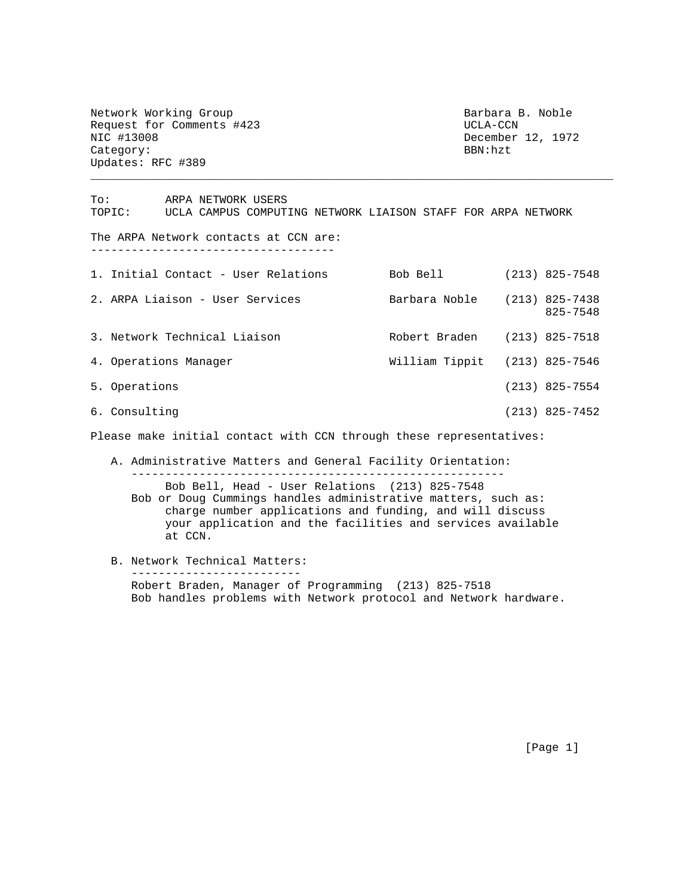Network Working Group Barbara B. Noble Request for Comments #423 UCLA-CCN NIC #13008 December 12, 1972<br>Category: BBN:hzt Category: Updates: RFC #389

To: ARPA NETWORK USERS TOPIC: UCLA CAMPUS COMPUTING NETWORK LIAISON STAFF FOR ARPA NETWORK The ARPA Network contacts at CCN are: ------------------------------------ 1. Initial Contact - User Relations Bob Bell (213) 825-7548 2. ARPA Liaison - User Services Barbara Noble (213) 825-7438 825-7548 3. Network Technical Liaison Robert Braden (213) 825-7518 4. Operations Manager William Tippit (213) 825-7546 5. Operations (213) 825-7554 6. Consulting (213) 825-7452 Please make initial contact with CCN through these representatives: A. Administrative Matters and General Facility Orientation: ------------------------------------------------------- Bob Bell, Head - User Relations (213) 825-7548 Bob or Doug Cummings handles administrative matters, such as: charge number applications and funding, and will discuss

\_\_\_\_\_\_\_\_\_\_\_\_\_\_\_\_\_\_\_\_\_\_\_\_\_\_\_\_\_\_\_\_\_\_\_\_\_\_\_\_\_\_\_\_\_\_\_\_\_\_\_\_\_\_\_\_\_\_\_\_\_\_\_\_\_\_\_\_\_\_\_\_\_\_\_\_\_

- your application and the facilities and services available at CCN.
- B. Network Technical Matters: ------------------------- Robert Braden, Manager of Programming (213) 825-7518 Bob handles problems with Network protocol and Network hardware.

[Page 1]